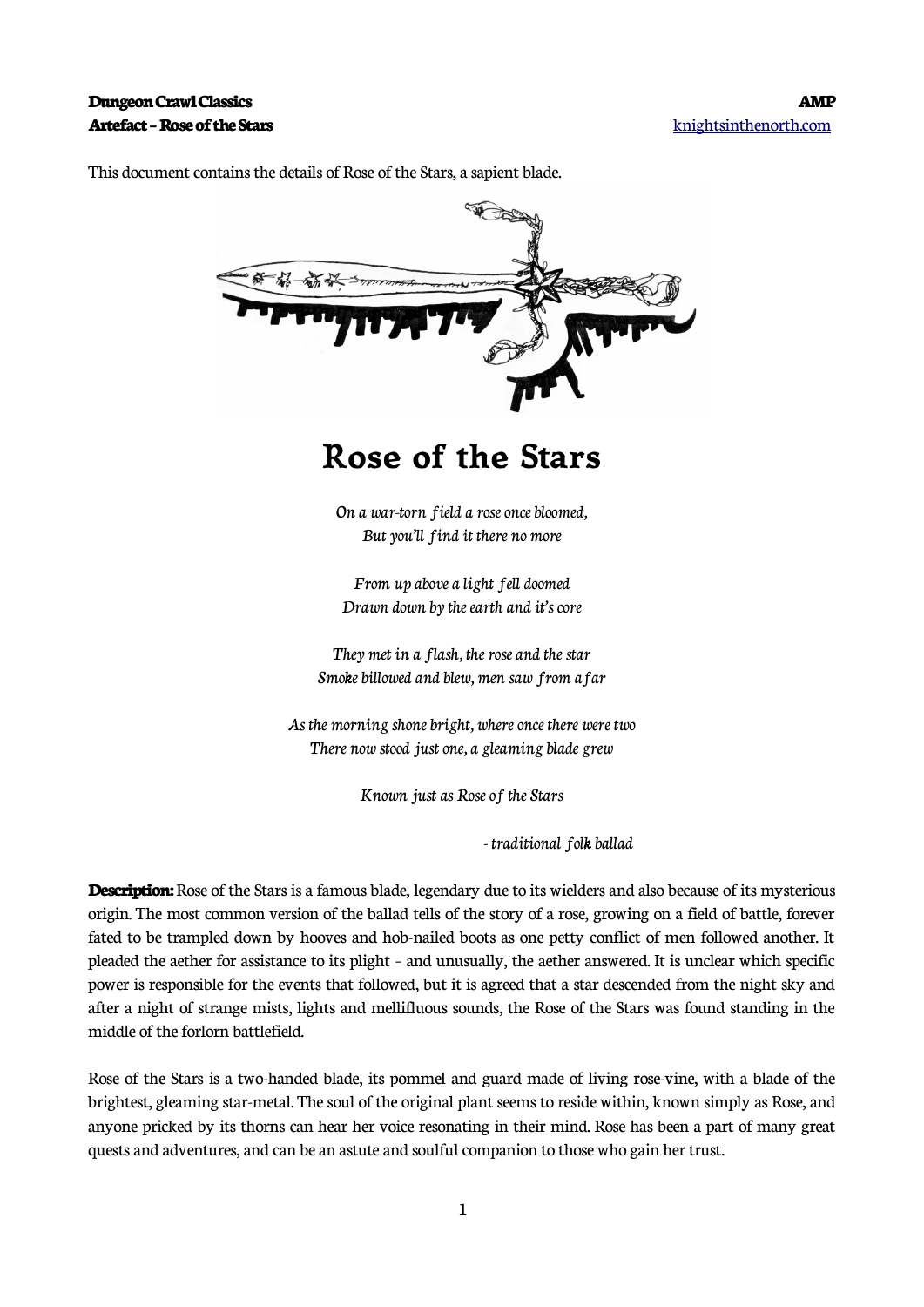

This document contains the details of Rose of the Stars, a sapient blade.

## **Rose of the Stars**

On a war-torn field a rose once bloomed, But you'll find it there no more

From up above a light fell doomed Drawn down by the earth and it's core

They met in a flash, the rose and the star Smoke billowed and blew, men saw from afar

As the morning shone bright, where once there were two There now stood just one, a gleaming blade grew

Known just as Rose of the Stars

- traditional folk ballad

**Description:** Rose of the Stars is a famous blade, legendary due to its wielders and also because of its mysterious origin. The most common version of the ballad tells of the story of a rose, growing on a field of battle, forever fated to be trampled down by hooves and hob-nailed boots as one petty conflict of men followed another. It pleaded the aether for assistance to its plight – and unusually, the aether answered. It is unclear which specific power is responsible for the events that followed, but it is agreed that a star descended from the night sky and after a night of strange mists, lights and mellifluous sounds, the Rose of the Stars was found standing in the middle of the forlorn battlefield.

Rose of the Stars is a two-handed blade, its pommel and guard made of living rose-vine, with a blade of the brightest, gleaming star-metal. The soul of the original plant seems to reside within, known simply as Rose, and anyone pricked by its thorns can hear her voice resonating in their mind. Rose has been a part of many great quests and adventures, and can be an astute and soulful companion to those who gain her trust.